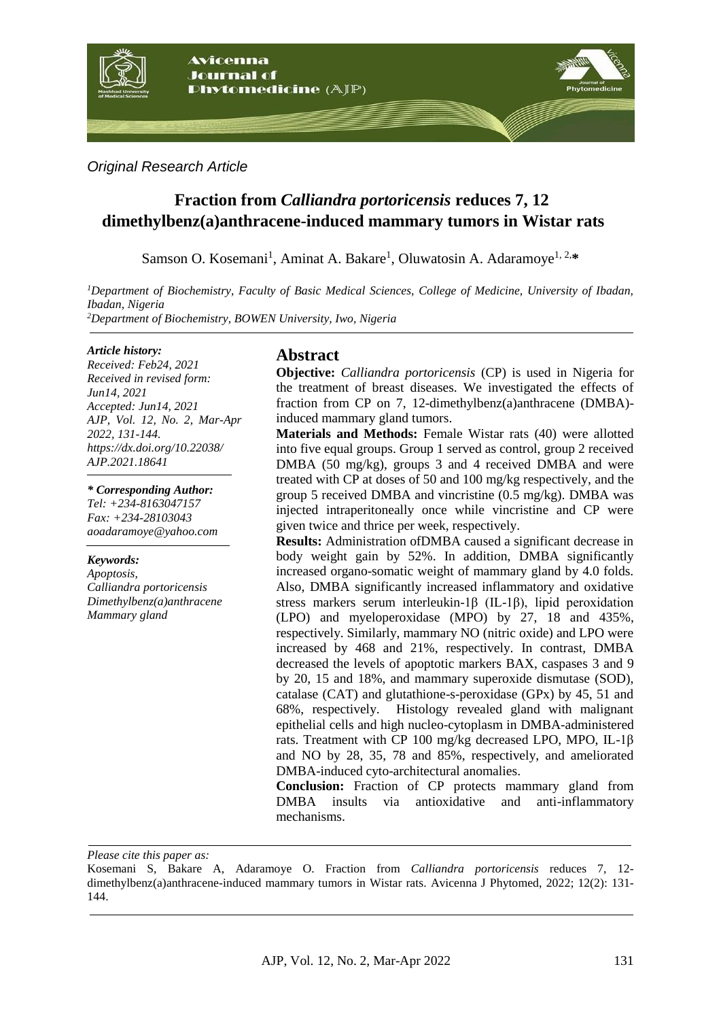

#### *Original Research Article*

# **Fraction from** *Calliandra portoricensis* **reduces 7, 12 dimethylbenz(a)anthracene-induced mammary tumors in Wistar rats**

Samson O. Kosemani<sup>1</sup>, Aminat A. Bakare<sup>1</sup>, Oluwatosin A. Adaramoye<sup>1, 2,\*</sup>

*<sup>1</sup>Department of Biochemistry, Faculty of Basic Medical Sciences, College of Medicine, University of Ibadan, Ibadan, Nigeria <sup>2</sup>Department of Biochemistry, BOWEN University, Iwo, Nigeria*

#### *Article history:*

*Received: Feb24, 2021 Received in revised form: Jun14, 2021 Accepted: Jun14, 2021 AJP, Vol. 12, No. 2, Mar-Apr 2022, 131-144. https://dx.doi.org/10.22038/ AJP.2021.18641*

#### *\* Corresponding Author:*

*Tel: +234-8163047157 Fax: +234-28103043 aoadaramoye@yahoo.com*

#### *Keywords:*

*Apoptosis, Calliandra portoricensis Dimethylbenz(a)anthracene Mammary gland* 

# **Abstract**

**Objective:** *Calliandra portoricensis* (CP) is used in Nigeria for the treatment of breast diseases. We investigated the effects of fraction from CP on 7, 12-dimethylbenz(a)anthracene (DMBA) induced mammary gland tumors.

**Materials and Methods:** Female Wistar rats (40) were allotted into five equal groups. Group 1 served as control, group 2 received DMBA (50 mg/kg), groups 3 and 4 received DMBA and were treated with CP at doses of 50 and 100 mg/kg respectively, and the group 5 received DMBA and vincristine (0.5 mg/kg). DMBA was injected intraperitoneally once while vincristine and CP were given twice and thrice per week, respectively.

**Results:** Administration ofDMBA caused a significant decrease in body weight gain by 52%. In addition, DMBA significantly increased organo-somatic weight of mammary gland by 4.0 folds. Also, DMBA significantly increased inflammatory and oxidative stress markers serum interleukin-1β (IL-1β), lipid peroxidation (LPO) and myeloperoxidase (MPO) by 27, 18 and 435%, respectively. Similarly, mammary NO (nitric oxide) and LPO were increased by 468 and 21%, respectively. In contrast, DMBA decreased the levels of apoptotic markers BAX, caspases 3 and 9 by 20, 15 and 18%, and mammary superoxide dismutase (SOD), catalase (CAT) and glutathione-s-peroxidase (GPx) by 45, 51 and 68%, respectively. Histology revealed gland with malignant epithelial cells and high nucleo-cytoplasm in DMBA-administered rats. Treatment with CP 100 mg/kg decreased LPO, MPO, IL-1β and NO by 28, 35, 78 and 85%, respectively, and ameliorated DMBA-induced cyto-architectural anomalies.

**Conclusion:** Fraction of CP protects mammary gland from DMBA insults via antioxidative and anti-inflammatory mechanisms.

*Please cite this paper as:* 

Kosemani S, Bakare A, Adaramoye O. Fraction from *Calliandra portoricensis* reduces 7, 12 dimethylbenz(a)anthracene-induced mammary tumors in Wistar rats. Avicenna J Phytomed, 2022; 12(2): 131- 144.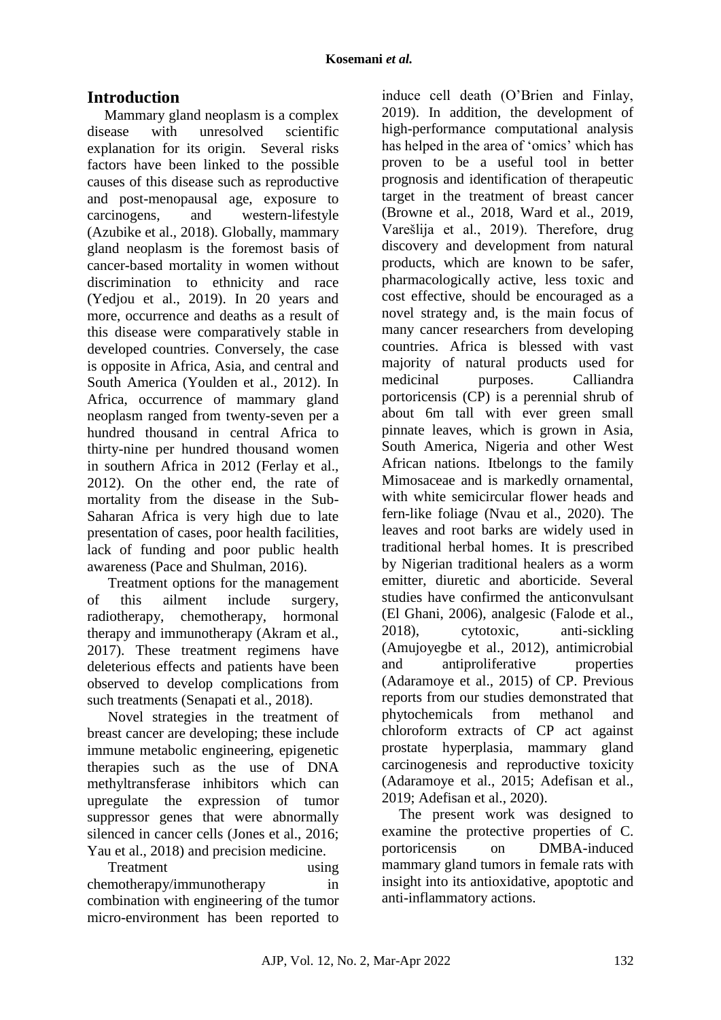# **Introduction**

Mammary gland neoplasm is a complex disease with unresolved scientific explanation for its origin. Several risks factors have been linked to the possible causes of this disease such as reproductive and post-menopausal age, exposure to carcinogens, and western-lifestyle (Azubike et al., 2018). Globally, mammary gland neoplasm is the foremost basis of cancer-based mortality in women without discrimination to ethnicity and race (Yedjou et al., 2019). In 20 years and more, occurrence and deaths as a result of this disease were comparatively stable in developed countries. Conversely, the case is opposite in Africa, Asia, and central and South America (Youlden et al., 2012). In Africa, occurrence of mammary gland neoplasm ranged from twenty-seven per a hundred thousand in central Africa to thirty-nine per hundred thousand women in southern Africa in 2012 (Ferlay et al., 2012). On the other end, the rate of mortality from the disease in the Sub-Saharan Africa is very high due to late presentation of cases, poor health facilities, lack of funding and poor public health awareness (Pace and Shulman, 2016).

Treatment options for the management of this ailment include surgery, radiotherapy, chemotherapy, hormonal therapy and immunotherapy (Akram et al., 2017). These treatment regimens have deleterious effects and patients have been observed to develop complications from such treatments (Senapati et al., 2018).

Novel strategies in the treatment of breast cancer are developing; these include immune metabolic engineering, epigenetic therapies such as the use of DNA methyltransferase inhibitors which can upregulate the expression of tumor suppressor genes that were abnormally silenced in cancer cells (Jones et al., 2016; Yau et al., 2018) and precision medicine.

Treatment using using chemotherapy/immunotherapy in combination with engineering of the tumor micro-environment has been reported to

induce cell death (O'Brien and Finlay, 2019). In addition, the development of high-performance computational analysis has helped in the area of 'omics' which has proven to be a useful tool in better prognosis and identification of therapeutic target in the treatment of breast cancer (Browne et al., 2018, Ward et al., 2019, Varešlija et al., 2019). Therefore, drug discovery and development from natural products, which are known to be safer, pharmacologically active, less toxic and cost effective, should be encouraged as a novel strategy and, is the main focus of many cancer researchers from developing countries. Africa is blessed with vast majority of natural products used for medicinal purposes. Calliandra portoricensis (CP) is a perennial shrub of about 6m tall with ever green small pinnate leaves, which is grown in Asia, South America, Nigeria and other West African nations. Itbelongs to the family Mimosaceae and is markedly ornamental, with white semicircular flower heads and fern-like foliage (Nvau et al., 2020). The leaves and root barks are widely used in traditional herbal homes. It is prescribed by Nigerian traditional healers as a worm emitter, diuretic and aborticide. Several studies have confirmed the anticonvulsant (El Ghani, 2006), analgesic (Falode et al., 2018), cytotoxic, anti-sickling (Amujoyegbe et al., 2012), antimicrobial and antiproliferative properties (Adaramoye et al., 2015) of CP. Previous reports from our studies demonstrated that phytochemicals from methanol and chloroform extracts of CP act against prostate hyperplasia, mammary gland carcinogenesis and reproductive toxicity (Adaramoye et al., 2015; Adefisan et al., 2019; Adefisan et al., 2020).

The present work was designed to examine the protective properties of C. portoricensis on DMBA-induced mammary gland tumors in female rats with insight into its antioxidative, apoptotic and anti-inflammatory actions.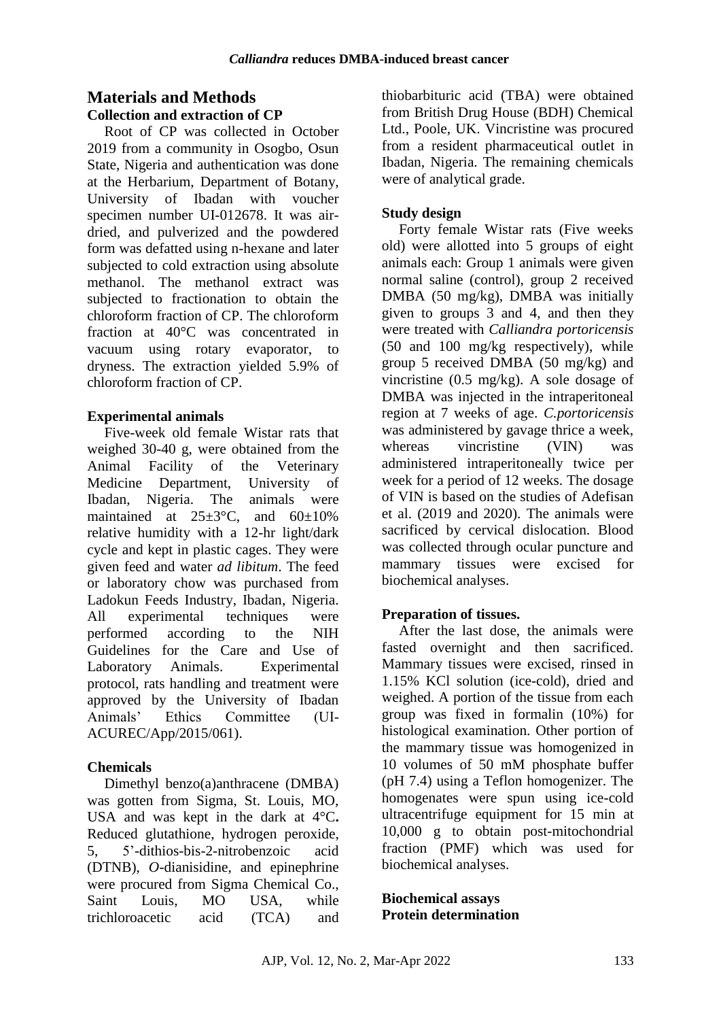# **Materials and Methods Collection and extraction of CP**

Root of CP was collected in October 2019 from a community in Osogbo, Osun State, Nigeria and authentication was done at the Herbarium, Department of Botany, University of Ibadan with voucher specimen number UI-012678. It was airdried, and pulverized and the powdered form was defatted using n-hexane and later subjected to cold extraction using absolute methanol. The methanol extract was subjected to fractionation to obtain the chloroform fraction of CP. The chloroform fraction at 40°C was concentrated in vacuum using rotary evaporator, to dryness. The extraction yielded 5.9% of chloroform fraction of CP.

### **Experimental animals**

Five-week old female Wistar rats that weighed 30-40 g, were obtained from the Animal Facility of the Veterinary Medicine Department, University of Ibadan, Nigeria. The animals were maintained at  $25\pm3$ °C, and  $60\pm10\%$ relative humidity with a 12-hr light/dark cycle and kept in plastic cages. They were given feed and water *ad libitum*. The feed or laboratory chow was purchased from Ladokun Feeds Industry, Ibadan, Nigeria. All experimental techniques were performed according to the NIH Guidelines for the Care and Use of Laboratory Animals. Experimental protocol, rats handling and treatment were approved by the University of Ibadan Animals' Ethics Committee (UI-ACUREC/App/2015/061).

# **Chemicals**

Dimethyl benzo(a)anthracene (DMBA) was gotten from Sigma, St. Louis, MO, USA and was kept in the dark at 4°C**.** Reduced glutathione, hydrogen peroxide, 5, 5'-dithios-bis-2-nitrobenzoic acid (DTNB), *O*-dianisidine, and epinephrine were procured from Sigma Chemical Co., Saint Louis, MO USA, while trichloroacetic acid (TCA) and thiobarbituric acid (TBA) were obtained from British Drug House (BDH) Chemical Ltd., Poole, UK. Vincristine was procured from a resident pharmaceutical outlet in Ibadan, Nigeria. The remaining chemicals were of analytical grade.

# **Study design**

Forty female Wistar rats (Five weeks old) were allotted into 5 groups of eight animals each: Group 1 animals were given normal saline (control), group 2 received DMBA (50 mg/kg), DMBA was initially given to groups 3 and 4, and then they were treated with *Calliandra portoricensis* (50 and 100 mg/kg respectively), while group 5 received DMBA (50 mg/kg) and vincristine (0.5 mg/kg). A sole dosage of DMBA was injected in the intraperitoneal region at 7 weeks of age. *C.portoricensis* was administered by gavage thrice a week, whereas vincristine (VIN) was administered intraperitoneally twice per week for a period of 12 weeks. The dosage of VIN is based on the studies of Adefisan et al. (2019 and 2020). The animals were sacrificed by cervical dislocation. Blood was collected through ocular puncture and mammary tissues were excised for biochemical analyses.

# **Preparation of tissues.**

After the last dose, the animals were fasted overnight and then sacrificed. Mammary tissues were excised, rinsed in 1.15% KCl solution (ice-cold), dried and weighed. A portion of the tissue from each group was fixed in formalin (10%) for histological examination. Other portion of the mammary tissue was homogenized in 10 volumes of 50 mM phosphate buffer (pH 7.4) using a Teflon homogenizer. The homogenates were spun using ice-cold ultracentrifuge equipment for 15 min at 10,000 g to obtain post-mitochondrial fraction (PMF) which was used for biochemical analyses.

### **Biochemical assays Protein determination**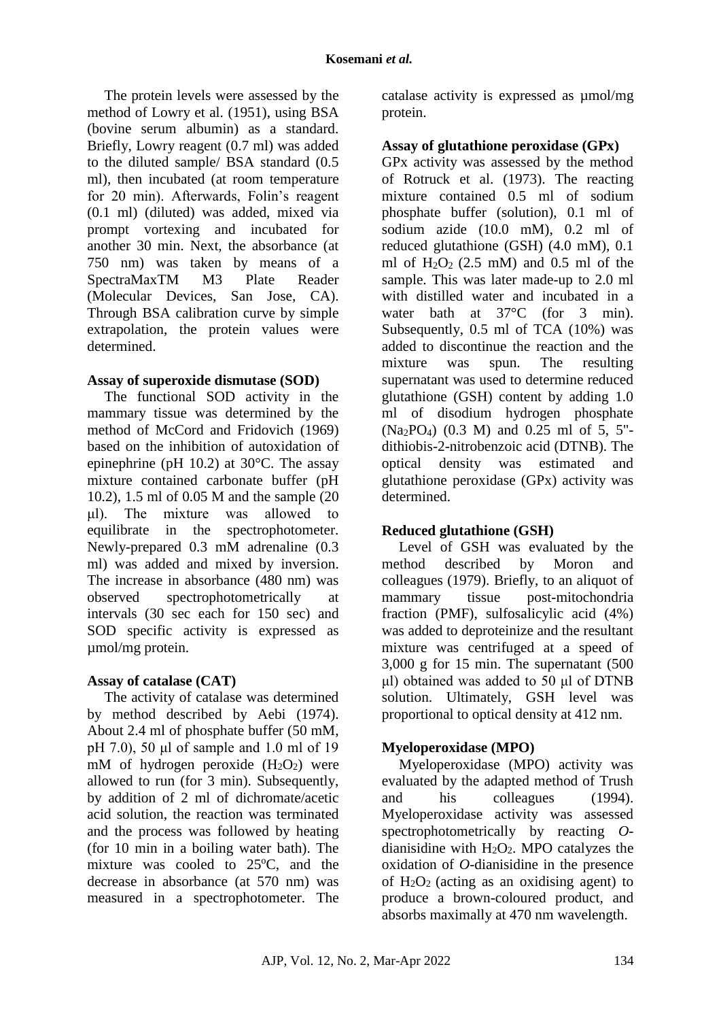The protein levels were assessed by the method of Lowry et al. (1951), using BSA (bovine serum albumin) as a standard. Briefly, Lowry reagent (0.7 ml) was added to the diluted sample/ BSA standard (0.5 ml), then incubated (at room temperature for 20 min). Afterwards, Folin's reagent (0.1 ml) (diluted) was added, mixed via prompt vortexing and incubated for another 30 min. Next, the absorbance (at 750 nm) was taken by means of a SpectraMaxTM M3 Plate Reader (Molecular Devices, San Jose, CA). Through BSA calibration curve by simple extrapolation, the protein values were determined.

### **Assay of superoxide dismutase (SOD)**

The functional SOD activity in the mammary tissue was determined by the method of McCord and Fridovich (1969) based on the inhibition of autoxidation of epinephrine (pH 10.2) at 30°C. The assay mixture contained carbonate buffer (pH 10.2), 1.5 ml of 0.05 M and the sample (20 μl). The mixture was allowed to equilibrate in the spectrophotometer. Newly-prepared 0.3 mM adrenaline (0.3 ml) was added and mixed by inversion. The increase in absorbance (480 nm) was observed spectrophotometrically at intervals (30 sec each for 150 sec) and SOD specific activity is expressed as µmol/mg protein.

#### **Assay of catalase (CAT)**

The activity of catalase was determined by method described by Aebi (1974). About 2.4 ml of phosphate buffer (50 mM, pH 7.0), 50 μl of sample and 1.0 ml of 19 mM of hydrogen peroxide  $(H_2O_2)$  were allowed to run (for 3 min). Subsequently, by addition of 2 ml of dichromate/acetic acid solution, the reaction was terminated and the process was followed by heating (for 10 min in a boiling water bath). The mixture was cooled to  $25^{\circ}$ C, and the decrease in absorbance (at 570 nm) was measured in a spectrophotometer. The

catalase activity is expressed as µmol/mg protein.

# **Assay of glutathione peroxidase (GPx)**

GPx activity was assessed by the method of Rotruck et al. (1973). The reacting mixture contained 0.5 ml of sodium phosphate buffer (solution), 0.1 ml of sodium azide (10.0 mM), 0.2 ml of reduced glutathione (GSH) (4.0 mM), 0.1 ml of  $H_2O_2$  (2.5 mM) and 0.5 ml of the sample. This was later made-up to 2.0 ml with distilled water and incubated in a water bath at 37<sup>o</sup>C (for 3 min). Subsequently, 0.5 ml of TCA (10%) was added to discontinue the reaction and the mixture was spun. The resulting supernatant was used to determine reduced glutathione (GSH) content by adding 1.0 ml of disodium hydrogen phosphate (Na2PO4) (0.3 M) and 0.25 ml of 5, 5" dithiobis-2-nitrobenzoic acid (DTNB). The optical density was estimated and glutathione peroxidase (GPx) activity was determined.

# **Reduced glutathione (GSH)**

Level of GSH was evaluated by the method described by Moron and colleagues (1979). Briefly, to an aliquot of mammary tissue post-mitochondria fraction (PMF), sulfosalicylic acid (4%) was added to deproteinize and the resultant mixture was centrifuged at a speed of 3,000 g for 15 min. The supernatant (500 μl) obtained was added to 50 μl of DTNB solution. Ultimately, GSH level was proportional to optical density at 412 nm.

# **Myeloperoxidase (MPO)**

Myeloperoxidase (MPO) activity was evaluated by the adapted method of Trush and his colleagues (1994). Myeloperoxidase activity was assessed spectrophotometrically by reacting *O*dianisidine with  $H_2O_2$ . MPO catalyzes the oxidation of *O*-dianisidine in the presence of  $H_2O_2$  (acting as an oxidising agent) to produce a brown-coloured product, and absorbs maximally at 470 nm wavelength.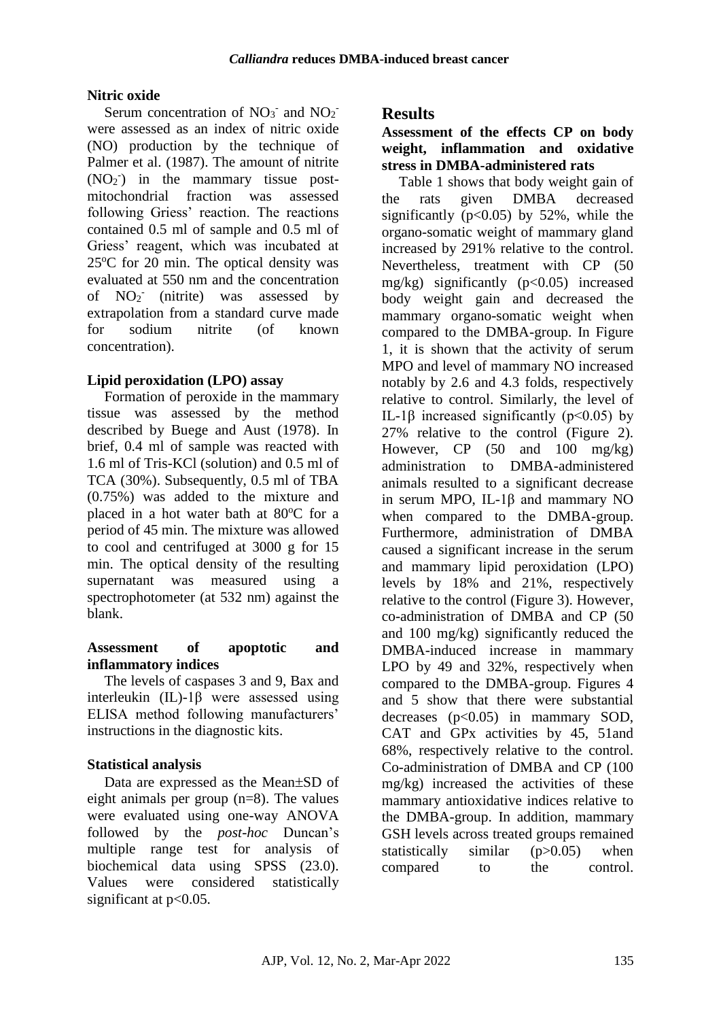### **Nitric oxide**

Serum concentration of  $NO<sub>3</sub>$  and  $NO<sub>2</sub>$ were assessed as an index of nitric oxide (NO) production by the technique of Palmer et al. (1987). The amount of nitrite  $(NO<sub>2</sub>)$  in the mammary tissue postmitochondrial fraction was assessed following Griess' reaction. The reactions contained 0.5 ml of sample and 0.5 ml of Griess' reagent, which was incubated at  $25^{\circ}$ C for 20 min. The optical density was evaluated at 550 nm and the concentration of NO<sub>2</sub> (nitrite) was assessed by extrapolation from a standard curve made for sodium nitrite (of known concentration).

# **Lipid peroxidation (LPO) assay**

Formation of peroxide in the mammary tissue was assessed by the method described by Buege and Aust (1978). In brief, 0.4 ml of sample was reacted with 1.6 ml of Tris-KCl (solution) and 0.5 ml of TCA (30%). Subsequently, 0.5 ml of TBA (0.75%) was added to the mixture and placed in a hot water bath at  $80^{\circ}$ C for a period of 45 min. The mixture was allowed to cool and centrifuged at 3000 g for 15 min. The optical density of the resulting supernatant was measured using a spectrophotometer (at 532 nm) against the blank.

### **Assessment of apoptotic and inflammatory indices**

The levels of caspases 3 and 9, Bax and interleukin (IL)-1β were assessed using ELISA method following manufacturers' instructions in the diagnostic kits.

# **Statistical analysis**

Data are expressed as the Mean $\pm$ SD of eight animals per group (n=8). The values were evaluated using one-way ANOVA followed by the *post-hoc* Duncan's multiple range test for analysis of biochemical data using SPSS (23.0). Values were considered statistically significant at p<0.05.

# **Results**

#### **Assessment of the effects CP on body weight, inflammation and oxidative stress in DMBA-administered rats**

Table 1 shows that body weight gain of the rats given DMBA decreased significantly ( $p<0.05$ ) by 52%, while the organo-somatic weight of mammary gland increased by 291% relative to the control. Nevertheless, treatment with CP (50 mg/kg) significantly  $(p<0.05)$  increased body weight gain and decreased the mammary organo-somatic weight when compared to the DMBA-group. In Figure 1, it is shown that the activity of serum MPO and level of mammary NO increased notably by 2.6 and 4.3 folds, respectively relative to control. Similarly, the level of IL-1β increased significantly ( $p<0.05$ ) by 27% relative to the control (Figure 2). However, CP  $(50 \text{ and } 100 \text{ mg/kg})$ administration to DMBA-administered animals resulted to a significant decrease in serum MPO, IL-1β and mammary NO when compared to the DMBA-group. Furthermore, administration of DMBA caused a significant increase in the serum and mammary lipid peroxidation (LPO) levels by 18% and 21%, respectively relative to the control (Figure 3). However, co-administration of DMBA and CP (50 and 100 mg/kg) significantly reduced the DMBA-induced increase in mammary LPO by 49 and 32%, respectively when compared to the DMBA-group. Figures 4 and 5 show that there were substantial decreases  $(p<0.05)$  in mammary SOD, CAT and GPx activities by 45, 51and 68%, respectively relative to the control. Co-administration of DMBA and CP (100 mg/kg) increased the activities of these mammary antioxidative indices relative to the DMBA-group. In addition, mammary GSH levels across treated groups remained statistically similar (p>0.05) when compared to the control.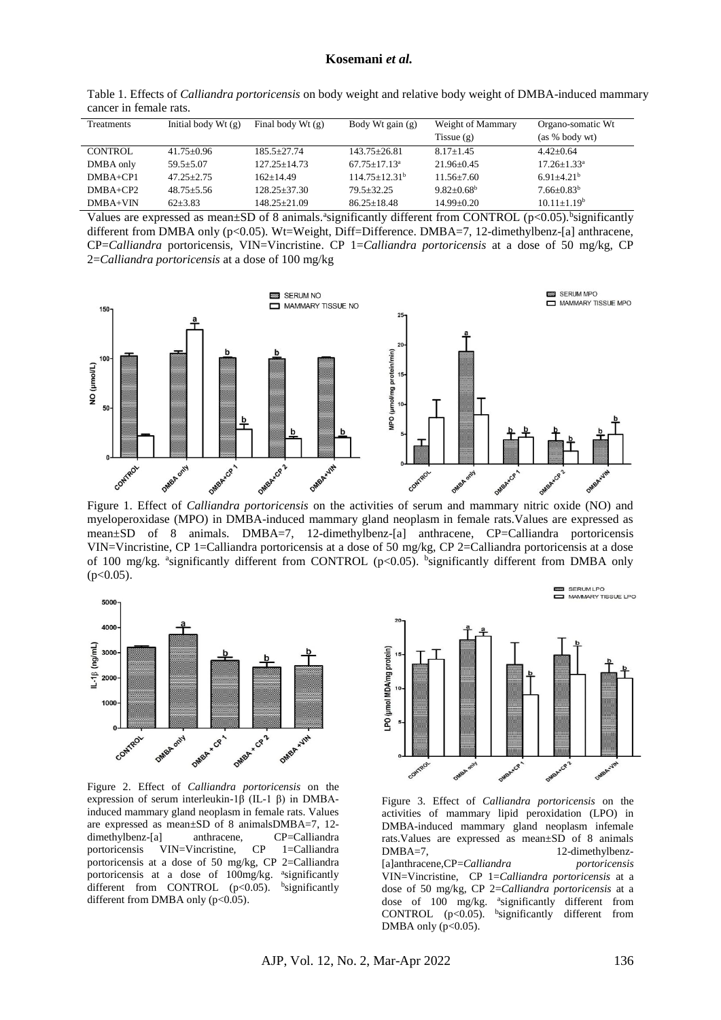| Table 1. Effects of Calliandra portoricensis on body weight and relative body weight of DMBA-induced mammary |  |
|--------------------------------------------------------------------------------------------------------------|--|
| cancer in female rats.                                                                                       |  |

| Treatments     | Initial body $Wt(g)$ | Final body Wt $(g)$ | Body Wt gain (g)   | Weight of Mammary | Organo-somatic Wt |
|----------------|----------------------|---------------------|--------------------|-------------------|-------------------|
|                |                      |                     |                    | Tissue $(g)$      | $(as % body wt)$  |
| <b>CONTROL</b> | $41.75 + 0.96$       | $185.5 + 27.74$     | $143.75 + 26.81$   | $8.17 + 1.45$     | $4.42+0.64$       |
| DMBA only      | $59.5 + 5.07$        | $127.25 + 14.73$    | $67.75 + 17.13a$   | $21.96 + 0.45$    | $17.26 + 1.33^a$  |
| $DMBA+CP1$     | $47.25 + 2.75$       | $162+14.49$         | $114.75 + 12.31^b$ | $11.56 + 7.60$    | $6.91 + 4.21b$    |
| $DMBA + CP2$   | $48.75 + 5.56$       | $128.25 + 37.30$    | $79.5 + 32.25$     | $9.82 + 0.68^b$   | $7.66 + 0.83^b$   |
| $DMBA+VIN$     | $62 + 3.83$          | $148.25 + 21.09$    | $86.25 + 18.48$    | $14.99 + 0.20$    | $10.11 + 1.19^b$  |

Values are expressed as mean $\pm$ SD of 8 animals.<sup>a</sup> significantly different from CONTROL (p<0.05).<sup>b</sup> significantly different from DMBA only (p<0.05). Wt=Weight, Diff=Difference. DMBA=7, 12-dimethylbenz-[a] anthracene, CP=*Calliandra* portoricensis, VIN=Vincristine. CP 1=*Calliandra portoricensis* at a dose of 50 mg/kg, CP 2=*Calliandra portoricensis* at a dose of 100 mg/kg



Figure 1. Effect of *Calliandra portoricensis* on the activities of serum and mammary nitric oxide (NO) and myeloperoxidase (MPO) in DMBA-induced mammary gland neoplasm in female rats.Values are expressed as mean±SD of 8 animals. DMBA=7, 12-dimethylbenz-[a] anthracene, CP=Calliandra portoricensis VIN=Vincristine, CP 1=Calliandra portoricensis at a dose of 50 mg/kg, CP 2=Calliandra portoricensis at a dose of 100 mg/kg. <sup>a</sup>significantly different from CONTROL (p<0.05). <sup>b</sup>significantly different from DMBA only  $(p<0.05)$ .



Figure 2. Effect of *Calliandra portoricensis* on the expression of serum interleukin-1β (IL-1 β) in DMBAinduced mammary gland neoplasm in female rats. Values are expressed as mean±SD of 8 animalsDMBA=7, 12 dimethylbenz-[a] anthracene, CP=Calliandra portoricensis VIN=Vincristine, CP 1=Calliandra portoricensis at a dose of 50 mg/kg, CP 2=Calliandra portoricensis at a dose of 100mg/kg. <sup>a</sup>significantly different from CONTROL  $(p<0.05)$ . <sup>b</sup>significantly different from DMBA only (p<0.05).



Figure 3. Effect of *Calliandra portoricensis* on the activities of mammary lipid peroxidation (LPO) in DMBA-induced mammary gland neoplasm infemale rats.Values are expressed as mean±SD of 8 animals DMBA=7, 12-dimethylbenz-[a]anthracene,CP=*Calliandra portoricensis* VIN=Vincristine, CP 1=*Calliandra portoricensis* at a dose of 50 mg/kg, CP 2=*Calliandra portoricensis* at a dose of 100 mg/kg. <sup>a</sup>significantly different from CONTROL  $(p<0.05)$ . <sup>b</sup>significantly different from DMBA only  $(p<0.05)$ .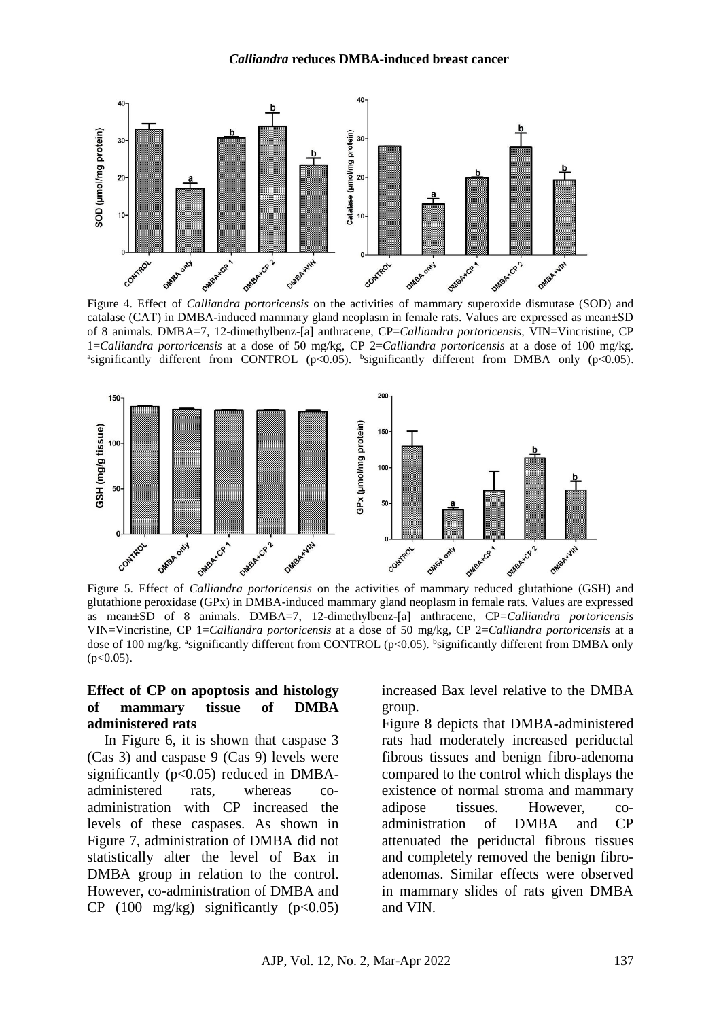

Figure 4. Effect of *Calliandra portoricensis* on the activities of mammary superoxide dismutase (SOD) and catalase (CAT) in DMBA-induced mammary gland neoplasm in female rats. Values are expressed as mean±SD of 8 animals. DMBA=7, 12-dimethylbenz-[a] anthracene, CP=*Calliandra portoricensis,* VIN=Vincristine, CP 1=*Calliandra portoricensis* at a dose of 50 mg/kg, CP 2=*Calliandra portoricensis* at a dose of 100 mg/kg. <sup>a</sup>significantly different from CONTROL (p<0.05). <sup>b</sup>significantly different from DMBA only (p<0.05).



glutathione peroxidase (GPx) in DMBA-induced mammary gland neoplasm in female rats. Values are expressed as mean±SD of 8 animals. DMBA=7, 12-dimethylbenz-[a] anthracene, CP=*Calliandra portoricensis* VIN=Vincristine, CP 1=*Calliandra portoricensis* at a dose of 50 mg/kg, CP 2=*Calliandra portoricensis* at a dose of 100 mg/kg. <sup>a</sup>significantly different from CONTROL (p<0.05). bignificantly different from DMBA only  $(p<0.05)$ .

#### **Effect of CP on apoptosis and histology of mammary tissue of DMBA administered rats**

In Figure 6, it is shown that caspase 3 (Cas 3) and caspase 9 (Cas 9) levels were significantly ( $p<0.05$ ) reduced in DMBAadministered rats, whereas coadministration with CP increased the levels of these caspases. As shown in Figure 7, administration of DMBA did not statistically alter the level of Bax in DMBA group in relation to the control. However, co-administration of DMBA and CP  $(100 \text{ mg/kg})$  significantly  $(p<0.05)$ 

increased Bax level relative to the DMBA group.

Figure 8 depicts that DMBA-administered rats had moderately increased periductal fibrous tissues and benign fibro-adenoma compared to the control which displays the existence of normal stroma and mammary adipose tissues. However, coadministration of DMBA and CP attenuated the periductal fibrous tissues and completely removed the benign fibroadenomas. Similar effects were observed in mammary slides of rats given DMBA and VIN.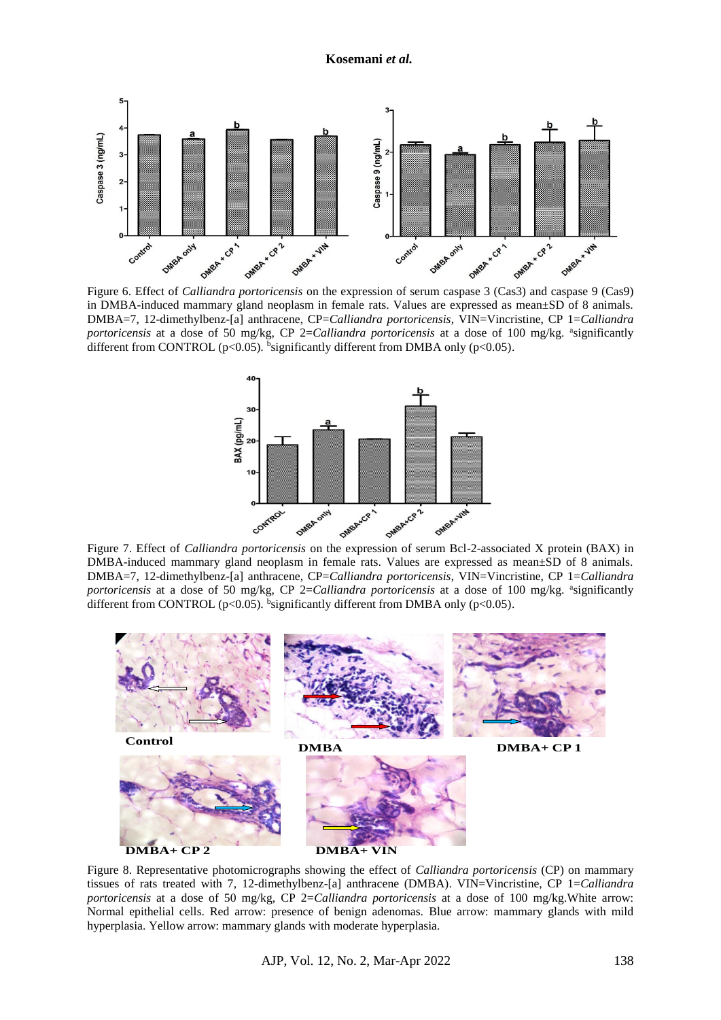

in DMBA-induced mammary gland neoplasm in female rats. Values are expressed as mean±SD of 8 animals. DMBA=7, 12-dimethylbenz-[a] anthracene, CP=*Calliandra portoricensis*, VIN=Vincristine, CP 1=*Calliandra portoricensis* at a dose of 50 mg/kg, CP 2=*Calliandra portoricensis* at a dose of 100 mg/kg. <sup>a</sup>significantly different from CONTROL ( $p<0.05$ ). <sup>b</sup>significantly different from DMBA only ( $p<0.05$ ).



DMBA-induced mammary gland neoplasm in female rats. Values are expressed as mean±SD of 8 animals. DMBA=7, 12-dimethylbenz-[a] anthracene, CP=*Calliandra portoricensis*, VIN=Vincristine, CP 1=*Calliandra portoricensis* at a dose of 50 mg/kg, CP 2=*Calliandra portoricensis* at a dose of 100 mg/kg. <sup>a</sup>significantly different from CONTROL ( $p<0.05$ ). <sup>b</sup>significantly different from DMBA only ( $p<0.05$ ).



Figure 8. Representative photomicrographs showing the effect of *Calliandra portoricensis* (CP) on mammary tissues of rats treated with 7, 12-dimethylbenz-[a] anthracene (DMBA). VIN=Vincristine, CP 1=*Calliandra portoricensis* at a dose of 50 mg/kg, CP 2=*Calliandra portoricensis* at a dose of 100 mg/kg.White arrow: Normal epithelial cells. Red arrow: presence of benign adenomas. Blue arrow: mammary glands with mild hyperplasia. Yellow arrow: mammary glands with moderate hyperplasia.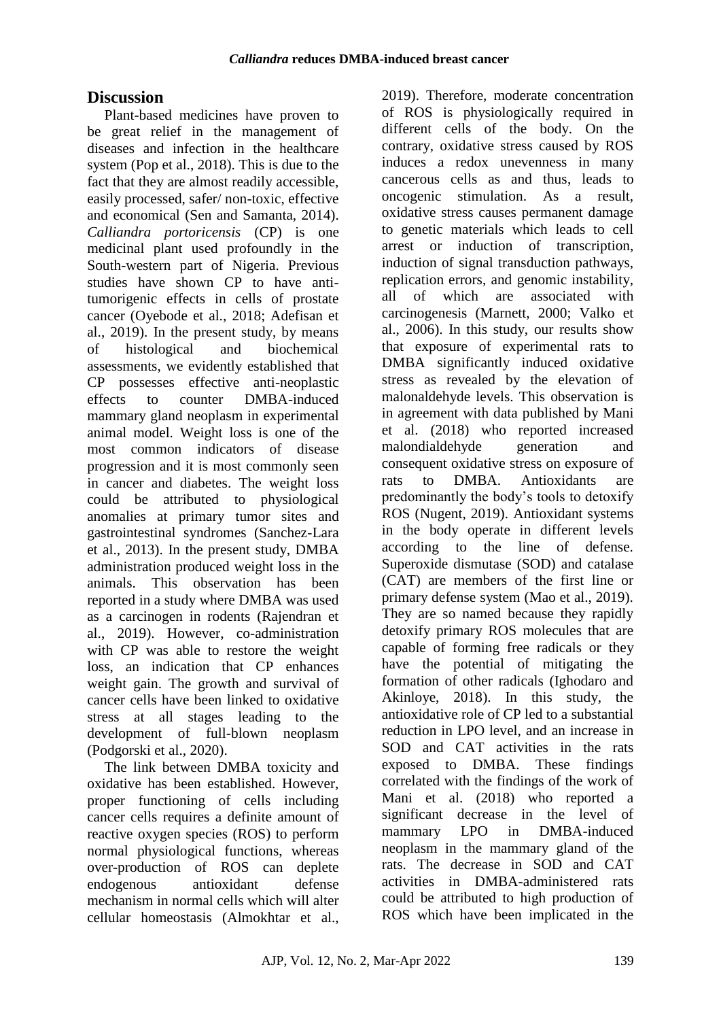# **Discussion**

Plant-based medicines have proven to be great relief in the management of diseases and infection in the healthcare system (Pop et al., 2018). This is due to the fact that they are almost readily accessible, easily processed, safer/ non-toxic, effective and economical (Sen and Samanta, 2014). *Calliandra portoricensis* (CP) is one medicinal plant used profoundly in the South-western part of Nigeria. Previous studies have shown CP to have antitumorigenic effects in cells of prostate cancer (Oyebode et al., 2018; Adefisan et al., 2019). In the present study, by means of histological and biochemical assessments, we evidently established that CP possesses effective anti-neoplastic effects to counter DMBA-induced mammary gland neoplasm in experimental animal model. Weight loss is one of the most common indicators of disease progression and it is most commonly seen in cancer and diabetes. The weight loss could be attributed to physiological anomalies at primary tumor sites and gastrointestinal syndromes (Sanchez-Lara et al., 2013). In the present study, DMBA administration produced weight loss in the animals. This observation has been reported in a study where DMBA was used as a carcinogen in rodents (Rajendran et al., 2019). However, co-administration with CP was able to restore the weight loss, an indication that CP enhances weight gain. The growth and survival of cancer cells have been linked to oxidative stress at all stages leading to the development of full-blown neoplasm (Podgorski et al., 2020).

The link between DMBA toxicity and oxidative has been established. However, proper functioning of cells including cancer cells requires a definite amount of reactive oxygen species (ROS) to perform normal physiological functions, whereas over-production of ROS can deplete endogenous antioxidant defense mechanism in normal cells which will alter cellular homeostasis (Almokhtar et al.,

2019). Therefore, moderate concentration of ROS is physiologically required in different cells of the body. On the contrary, oxidative stress caused by ROS induces a redox unevenness in many cancerous cells as and thus, leads to oncogenic stimulation. As a result, oxidative stress causes permanent damage to genetic materials which leads to cell arrest or induction of transcription, induction of signal transduction pathways, replication errors, and genomic instability, all of which are associated with carcinogenesis (Marnett, 2000; Valko et al., 2006). In this study, our results show that exposure of experimental rats to DMBA significantly induced oxidative stress as revealed by the elevation of malonaldehyde levels. This observation is in agreement with data published by Mani et al. (2018) who reported increased malondialdehyde generation and consequent oxidative stress on exposure of rats to DMBA. Antioxidants are predominantly the body's tools to detoxify ROS (Nugent, 2019). Antioxidant systems in the body operate in different levels according to the line of defense. Superoxide dismutase (SOD) and catalase (CAT) are members of the first line or primary defense system (Mao et al., 2019). They are so named because they rapidly detoxify primary ROS molecules that are capable of forming free radicals or they have the potential of mitigating the formation of other radicals (Ighodaro and Akinloye, 2018). In this study, the antioxidative role of CP led to a substantial reduction in LPO level, and an increase in SOD and CAT activities in the rats exposed to DMBA. These findings correlated with the findings of the work of Mani et al. (2018) who reported a significant decrease in the level of mammary LPO in DMBA-induced neoplasm in the mammary gland of the rats. The decrease in SOD and CAT activities in DMBA-administered rats could be attributed to high production of ROS which have been implicated in the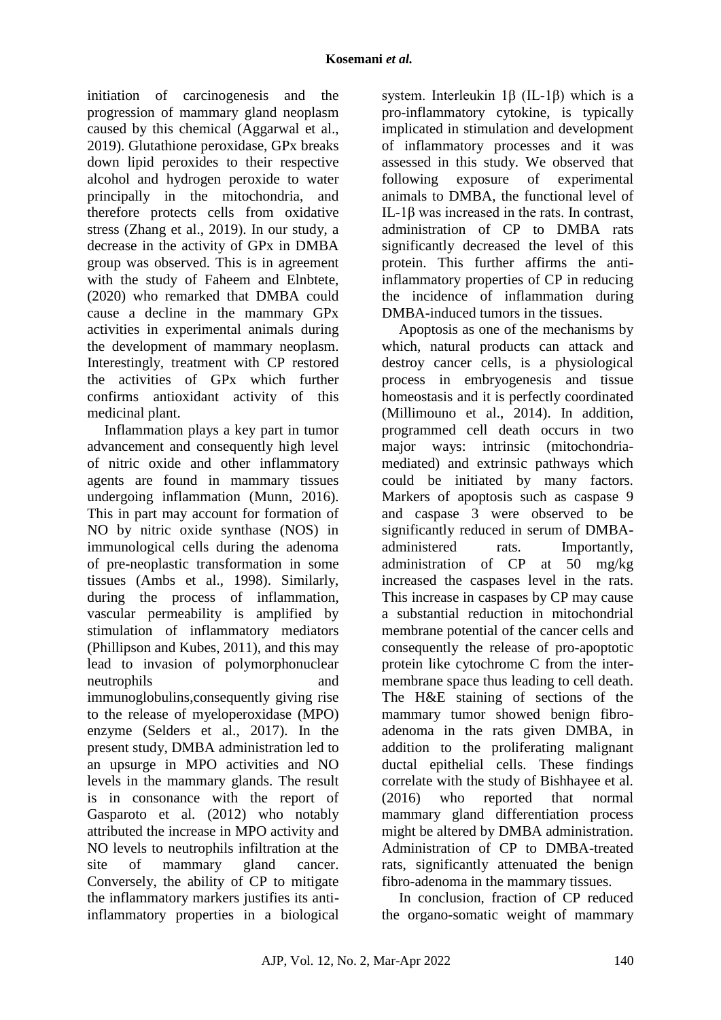initiation of carcinogenesis and the progression of mammary gland neoplasm caused by this chemical (Aggarwal et al., 2019). Glutathione peroxidase, GPx breaks down lipid peroxides to their respective alcohol and hydrogen peroxide to water principally in the mitochondria, and therefore protects cells from oxidative stress (Zhang et al., 2019). In our study, a decrease in the activity of GPx in DMBA group was observed. This is in agreement with the study of Faheem and Elnbtete, (2020) who remarked that DMBA could cause a decline in the mammary GPx activities in experimental animals during the development of mammary neoplasm. Interestingly, treatment with CP restored the activities of GPx which further confirms antioxidant activity of this medicinal plant.

Inflammation plays a key part in tumor advancement and consequently high level of nitric oxide and other inflammatory agents are found in mammary tissues undergoing inflammation (Munn, 2016). This in part may account for formation of NO by nitric oxide synthase (NOS) in immunological cells during the adenoma of pre-neoplastic transformation in some tissues (Ambs et al., 1998). Similarly, during the process of inflammation, vascular permeability is amplified by stimulation of inflammatory mediators (Phillipson and Kubes, 2011), and this may lead to invasion of polymorphonuclear neutrophils and immunoglobulins,consequently giving rise to the release of myeloperoxidase (MPO) enzyme (Selders et al., 2017). In the present study, DMBA administration led to an upsurge in MPO activities and NO levels in the mammary glands. The result is in consonance with the report of Gasparoto et al. (2012) who notably attributed the increase in MPO activity and NO levels to neutrophils infiltration at the site of mammary gland cancer. Conversely, the ability of CP to mitigate the inflammatory markers justifies its antiinflammatory properties in a biological

system. Interleukin 1β (IL-1β) which is a pro-inflammatory cytokine, is typically implicated in stimulation and development of inflammatory processes and it was assessed in this study. We observed that following exposure of experimental animals to DMBA, the functional level of IL-1β was increased in the rats. In contrast, administration of CP to DMBA rats significantly decreased the level of this protein. This further affirms the antiinflammatory properties of CP in reducing the incidence of inflammation during DMBA-induced tumors in the tissues.

Apoptosis as one of the mechanisms by which, natural products can attack and destroy cancer cells, is a physiological process in embryogenesis and tissue homeostasis and it is perfectly coordinated (Millimouno et al., 2014). In addition, programmed cell death occurs in two major ways: intrinsic (mitochondriamediated) and extrinsic pathways which could be initiated by many factors. Markers of apoptosis such as caspase 9 and caspase 3 were observed to be significantly reduced in serum of DMBAadministered rats. Importantly, administration of CP at 50 mg/kg increased the caspases level in the rats. This increase in caspases by CP may cause a substantial reduction in mitochondrial membrane potential of the cancer cells and consequently the release of pro-apoptotic protein like cytochrome C from the intermembrane space thus leading to cell death. The H&E staining of sections of the mammary tumor showed benign fibroadenoma in the rats given DMBA, in addition to the proliferating malignant ductal epithelial cells. These findings correlate with the study of Bishhayee et al. (2016) who reported that normal mammary gland differentiation process might be altered by DMBA administration. Administration of CP to DMBA-treated rats, significantly attenuated the benign fibro-adenoma in the mammary tissues.

In conclusion, fraction of CP reduced the organo-somatic weight of mammary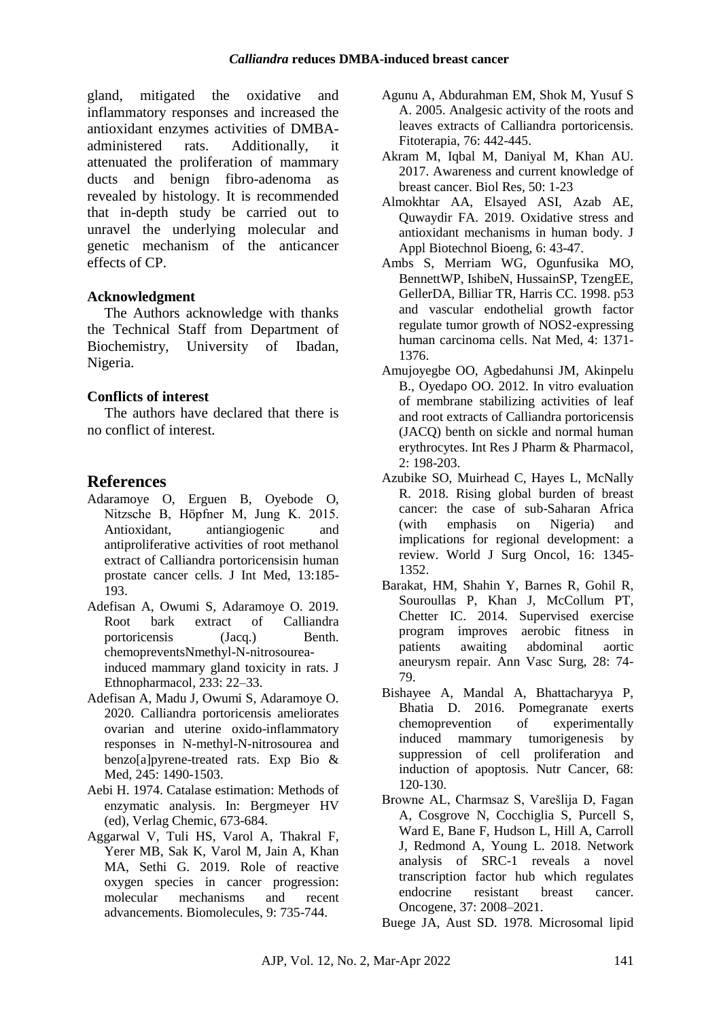gland, mitigated the oxidative and inflammatory responses and increased the antioxidant enzymes activities of DMBAadministered rats. Additionally, attenuated the proliferation of mammary ducts and benign fibro-adenoma as revealed by histology. It is recommended that in-depth study be carried out to unravel the underlying molecular and genetic mechanism of the anticancer effects of CP.

### **Acknowledgment**

The Authors acknowledge with thanks the Technical Staff from Department of Biochemistry, University of Ibadan, Nigeria.

### **Conflicts of interest**

The authors have declared that there is no conflict of interest.

# **References**

- Adaramoye O, Erguen B, Oyebode O, Nitzsche B, Höpfner M, Jung K. 2015. Antioxidant, antiangiogenic and antiproliferative activities of root methanol extract of Calliandra portoricensisin human prostate cancer cells. J Int Med, 13:185- 193.
- Adefisan A, Owumi S, Adaramoye O. 2019. Root bark extract of Calliandra portoricensis (Jacq.) Benth. chemopreventsNmethyl-N-nitrosoureainduced mammary gland toxicity in rats. J Ethnopharmacol, 233: 22–33.
- Adefisan A, Madu J, Owumi S, Adaramoye O. 2020. Calliandra portoricensis ameliorates ovarian and uterine oxido-inflammatory responses in N-methyl-N-nitrosourea and benzo[a]pyrene-treated rats. Exp Bio & Med, 245: 1490-1503.
- Aebi H. 1974. Catalase estimation: Methods of enzymatic analysis. In: Bergmeyer HV (ed), Verlag Chemic, 673-684.
- Aggarwal V, Tuli HS, Varol A, Thakral F, Yerer MB, Sak K, Varol M, Jain A, Khan MA, Sethi G. 2019. Role of reactive oxygen species in cancer progression: molecular mechanisms and recent advancements. Biomolecules, 9: 735-744.
- Agunu A, Abdurahman EM, Shok M, Yusuf S A. 2005. Analgesic activity of the roots and leaves extracts of Calliandra portoricensis. Fitoterapia, 76: 442-445.
- Akram M, Iqbal M, Daniyal M, Khan AU. 2017. Awareness and current knowledge of breast cancer. Biol Res, 50: 1-23
- Almokhtar AA, Elsayed ASI, Azab AE, Quwaydir FA. 2019. Oxidative stress and antioxidant mechanisms in human body. J Appl Biotechnol Bioeng, 6: 43-47.
- Ambs S, Merriam WG, Ogunfusika MO, BennettWP, IshibeN, HussainSP, TzengEE, GellerDA, Billiar TR, Harris CC. 1998. p53 and vascular endothelial growth factor regulate tumor growth of NOS2-expressing human carcinoma cells. Nat Med, 4: 1371- 1376.
- Amujoyegbe OO, Agbedahunsi JM, Akinpelu B., Oyedapo OO. 2012. In vitro evaluation of membrane stabilizing activities of leaf and root extracts of Calliandra portoricensis (JACQ) benth on sickle and normal human erythrocytes. Int Res J Pharm & Pharmacol, 2: 198-203.
- Azubike SO, Muirhead C, Hayes L, McNally R. 2018. Rising global burden of breast cancer: the case of sub-Saharan Africa (with emphasis on Nigeria) and implications for regional development: a review. World J Surg Oncol, 16: 1345- 1352.
- Barakat, HM, Shahin Y, Barnes R, Gohil R, Souroullas P, Khan J, McCollum PT, Chetter IC. 2014. Supervised exercise program improves aerobic fitness in patients awaiting abdominal aortic aneurysm repair. Ann Vasc Surg, 28: 74- 79.
- Bishayee A, Mandal A, Bhattacharyya P, Bhatia D. 2016. Pomegranate exerts chemoprevention of experimentally induced mammary tumorigenesis by suppression of cell proliferation and induction of apoptosis. Nutr Cancer, 68: 120-130.
- Browne AL, Charmsaz S, Varešlija D, Fagan A, Cosgrove N, Cocchiglia S, Purcell S, Ward E, Bane F, Hudson L, Hill A, Carroll J, Redmond A, Young L. 2018. Network analysis of SRC-1 reveals a novel transcription factor hub which regulates endocrine resistant breast cancer. Oncogene, 37: 2008–2021.

Buege JA, Aust SD. 1978. Microsomal lipid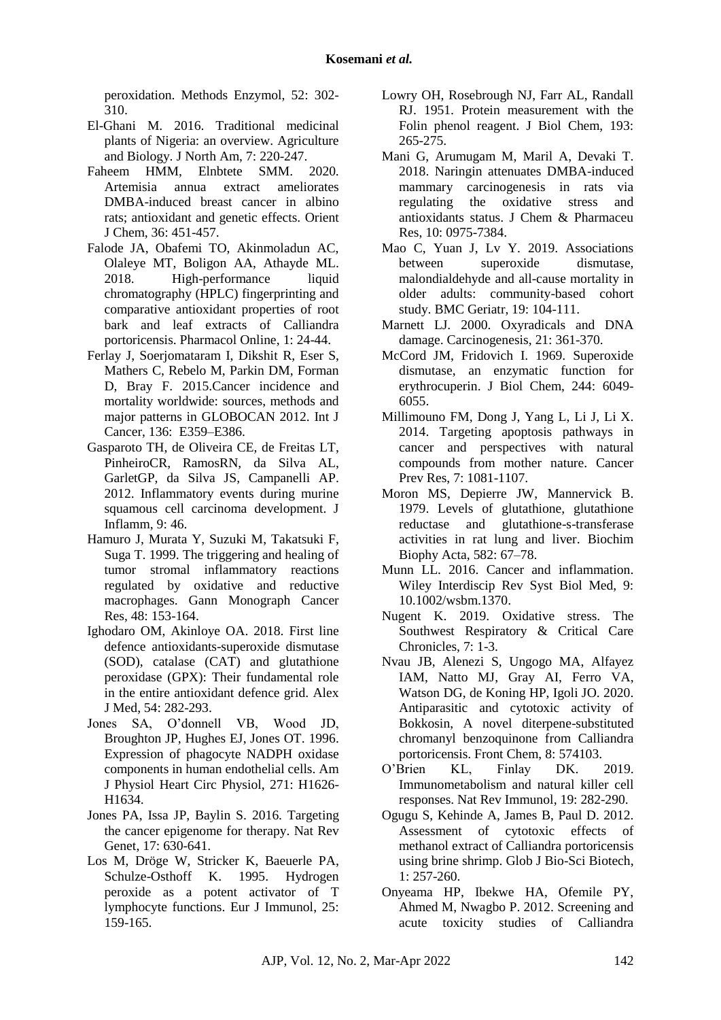peroxidation. Methods Enzymol, 52: 302- 310.

- El-Ghani M. 2016. Traditional medicinal plants of Nigeria: an overview. Agriculture and Biology. J North Am, 7: 220-247.
- Faheem HMM, Elnbtete SMM. 2020. Artemisia annua extract ameliorates DMBA-induced breast cancer in albino rats; antioxidant and genetic effects. Orient J Chem, 36: 451-457.
- Falode JA, Obafemi TO, Akinmoladun AC, Olaleye MT, Boligon AA, Athayde ML. 2018. High-performance liquid chromatography (HPLC) fingerprinting and comparative antioxidant properties of root bark and leaf extracts of Calliandra portoricensis. Pharmacol Online, 1: 24-44.
- Ferlay J, Soerjomataram I, Dikshit R, Eser S, Mathers C, Rebelo M, Parkin DM, Forman D, Bray F. 2015.Cancer incidence and mortality worldwide: sources, methods and major patterns in GLOBOCAN 2012. Int J Cancer, 136: E359–E386.
- Gasparoto TH, de Oliveira CE, de Freitas LT, PinheiroCR, RamosRN, da Silva AL, GarletGP, da Silva JS, Campanelli AP. 2012. Inflammatory events during murine squamous cell carcinoma development. J Inflamm, 9: 46.
- Hamuro J, Murata Y, Suzuki M, Takatsuki F, Suga T. 1999. The triggering and healing of tumor stromal inflammatory reactions regulated by oxidative and reductive macrophages. Gann Monograph Cancer Res, 48: 153-164.
- Ighodaro OM, Akinloye OA. 2018. First line defence antioxidants-superoxide dismutase (SOD), catalase (CAT) and glutathione peroxidase (GPX): Their fundamental role in the entire antioxidant defence grid. Alex J Med, 54: 282-293.
- Jones SA, O'donnell VB, Wood JD, Broughton JP, Hughes EJ, Jones OT. 1996. Expression of phagocyte NADPH oxidase components in human endothelial cells. Am J Physiol Heart Circ Physiol, 271: H1626- H1634.
- Jones PA, Issa JP, Baylin S. 2016. Targeting the cancer epigenome for therapy. Nat Rev Genet, 17: 630-641.
- Los M, Dröge W, Stricker K, Baeuerle PA, Schulze-Osthoff K. 1995. Hydrogen peroxide as a potent activator of T lymphocyte functions. Eur J Immunol, 25: 159-165.
- Lowry OH, Rosebrough NJ, Farr AL, Randall RJ. 1951. Protein measurement with the Folin phenol reagent. J Biol Chem, 193: 265-275.
- Mani G, Arumugam M, Maril A, Devaki T. 2018. Naringin attenuates DMBA-induced mammary carcinogenesis in rats via regulating the oxidative stress and antioxidants status. J Chem & Pharmaceu Res, 10: 0975-7384.
- Mao C, Yuan J, Lv Y. 2019. Associations between superoxide dismutase, malondialdehyde and all-cause mortality in older adults: community-based cohort study. BMC Geriatr, 19: 104-111.
- Marnett LJ. 2000. Oxyradicals and DNA damage. Carcinogenesis, 21: 361-370.
- McCord JM, Fridovich I. 1969. Superoxide dismutase, an enzymatic function for erythrocuperin. J Biol Chem, 244: 6049- 6055.
- Millimouno FM, Dong J, Yang L, Li J, Li X. 2014. Targeting apoptosis pathways in cancer and perspectives with natural compounds from mother nature. Cancer Prev Res, 7: 1081-1107.
- Moron MS, Depierre JW, Mannervick B. 1979. Levels of glutathione, glutathione reductase and glutathione-s-transferase activities in rat lung and liver. Biochim Biophy Acta, 582: 67–78.
- Munn LL. 2016. Cancer and inflammation. Wiley Interdiscip Rev Syst Biol Med, 9: 10.1002/wsbm.1370.
- Nugent K. 2019. Oxidative stress. The Southwest Respiratory & Critical Care Chronicles, 7: 1-3.
- Nvau JB, Alenezi S, Ungogo MA, Alfayez IAM, Natto MJ, Gray AI, Ferro VA, Watson DG, de Koning HP, Igoli JO. 2020. Antiparasitic and cytotoxic activity of Bokkosin, A novel diterpene-substituted chromanyl benzoquinone from Calliandra portoricensis. Front Chem, 8: 574103.
- O'Brien KL, Finlay DK. 2019. Immunometabolism and natural killer cell responses. Nat Rev Immunol, 19: 282-290.
- Ogugu S, Kehinde A, James B, Paul D. 2012. Assessment of cytotoxic effects of methanol extract of Calliandra portoricensis using brine shrimp. Glob J Bio-Sci Biotech, 1: 257-260.
- Onyeama HP, Ibekwe HA, Ofemile PY, Ahmed M, Nwagbo P. 2012. Screening and acute toxicity studies of Calliandra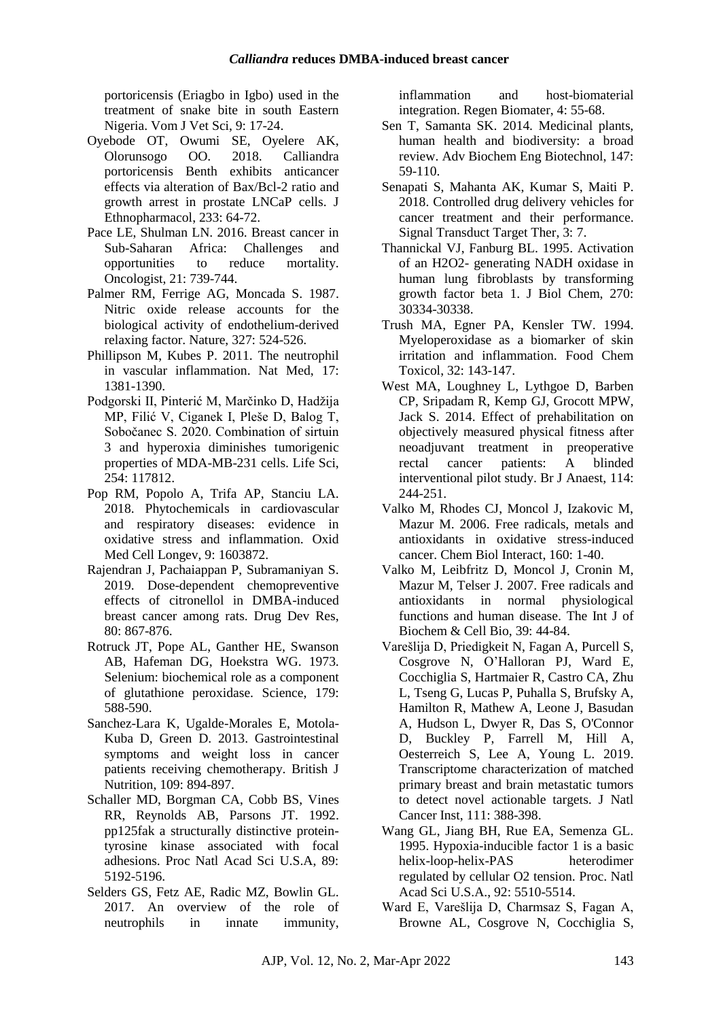portoricensis (Eriagbo in Igbo) used in the treatment of snake bite in south Eastern Nigeria. Vom J Vet Sci, 9: 17-24.

- Oyebode OT, Owumi SE, Oyelere AK, Olorunsogo OO. 2018. Calliandra portoricensis Benth exhibits anticancer effects via alteration of Bax/Bcl-2 ratio and growth arrest in prostate LNCaP cells. J Ethnopharmacol, 233: 64-72.
- Pace LE, Shulman LN. 2016. Breast cancer in Sub-Saharan Africa: Challenges and opportunities to reduce mortality. Oncologist, 21: 739-744.
- Palmer RM, Ferrige AG, Moncada S. 1987. Nitric oxide release accounts for the biological activity of endothelium-derived relaxing factor. Nature, 327: 524-526.
- Phillipson M, Kubes P. 2011. The neutrophil in vascular inflammation. Nat Med, 17: 1381-1390.
- Podgorski II, Pinterić M, Marčinko D, Hadžija MP, Filić V, Ciganek I, Pleše D, Balog T, Sobočanec S. 2020. Combination of sirtuin 3 and hyperoxia diminishes tumorigenic properties of MDA-MB-231 cells. Life Sci, 254: 117812.
- Pop RM, Popolo A, Trifa AP, Stanciu LA. 2018. Phytochemicals in cardiovascular and respiratory diseases: evidence in oxidative stress and inflammation. Oxid Med Cell Longev, 9: 1603872.
- Rajendran J, Pachaiappan P, Subramaniyan S. 2019. Dose-dependent chemopreventive effects of citronellol in DMBA-induced breast cancer among rats. Drug Dev Res, 80: 867-876.
- Rotruck JT, Pope AL, Ganther HE, Swanson AB, Hafeman DG, Hoekstra WG. 1973. Selenium: biochemical role as a component of glutathione peroxidase. Science, 179: 588-590.
- Sanchez-Lara K, Ugalde-Morales E, Motola-Kuba D, Green D. 2013. Gastrointestinal symptoms and weight loss in cancer patients receiving chemotherapy. British J Nutrition, 109: 894-897.
- Schaller MD, Borgman CA, Cobb BS, Vines RR, Reynolds AB, Parsons JT. 1992. pp125fak a structurally distinctive proteintyrosine kinase associated with focal adhesions. Proc Natl Acad Sci U.S.A, 89: 5192-5196.
- Selders GS, Fetz AE, Radic MZ, Bowlin GL. 2017. An overview of the role of neutrophils in innate immunity,

inflammation and host-biomaterial integration. Regen Biomater, 4: 55-68.

- Sen T, Samanta SK. 2014. Medicinal plants, human health and biodiversity: a broad review. Adv Biochem Eng Biotechnol, 147: 59-110.
- Senapati S, Mahanta AK, Kumar S, Maiti P. 2018. Controlled drug delivery vehicles for cancer treatment and their performance. Signal Transduct Target Ther, 3: 7.
- Thannickal VJ, Fanburg BL. 1995. Activation of an H2O2- generating NADH oxidase in human lung fibroblasts by transforming growth factor beta 1. J Biol Chem, 270: 30334-30338.
- Trush MA, Egner PA, Kensler TW. 1994. Myeloperoxidase as a biomarker of skin irritation and inflammation. Food Chem Toxicol, 32: 143-147.
- West MA, Loughney L, Lythgoe D, Barben CP, Sripadam R, Kemp GJ, Grocott MPW, Jack S. 2014. Effect of prehabilitation on objectively measured physical fitness after neoadjuvant treatment in preoperative rectal cancer patients: A blinded interventional pilot study. Br J Anaest, 114: 244-251.
- Valko M, Rhodes CJ, Moncol J, Izakovic M, Mazur M. 2006. Free radicals, metals and antioxidants in oxidative stress-induced cancer. Chem Biol Interact, 160: 1-40.
- Valko M, Leibfritz D, Moncol J, Cronin M, Mazur M, Telser J. 2007. Free radicals and antioxidants in normal physiological functions and human disease. The Int J of Biochem & Cell Bio, 39: 44-84.
- Varešlija D, Priedigkeit N, Fagan A, Purcell S, Cosgrove N, O'Halloran PJ, Ward E, Cocchiglia S, Hartmaier R, Castro CA, Zhu L, Tseng G, Lucas P, Puhalla S, Brufsky A, Hamilton R, Mathew A, Leone J, Basudan A, Hudson L, Dwyer R, Das S, O'Connor D, Buckley P, Farrell M, Hill A, Oesterreich S, Lee A, Young L. 2019. Transcriptome characterization of matched primary breast and brain metastatic tumors to detect novel actionable targets. J Natl Cancer Inst, 111: 388-398.
- Wang GL, Jiang BH, Rue EA, Semenza GL. 1995. Hypoxia-inducible factor 1 is a basic helix-loop-helix-PAS heterodimer regulated by cellular O2 tension. Proc. Natl Acad Sci U.S.A., 92: 5510-5514.
- Ward E, Varešlija D, Charmsaz S, Fagan A, Browne AL, Cosgrove N, Cocchiglia S,